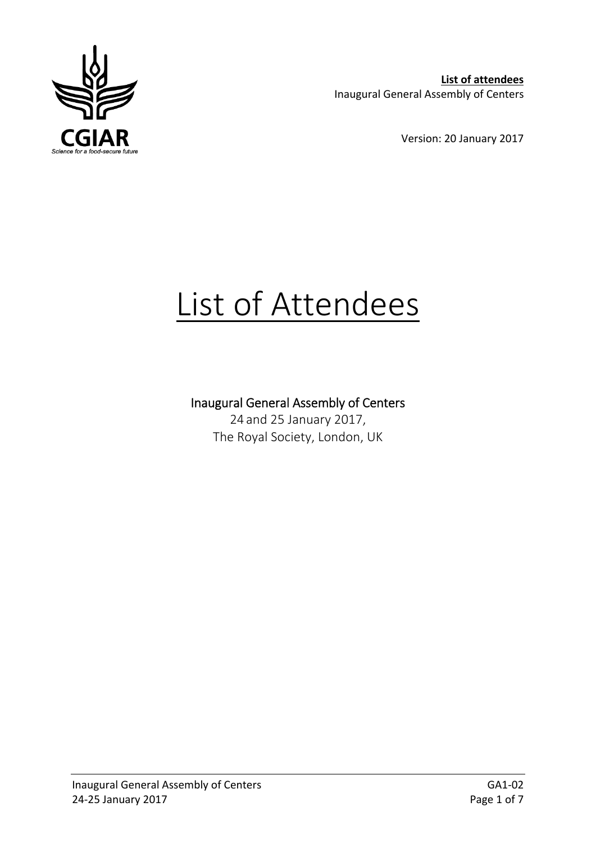

Version: 20 January 2017

# List of Attendees

# Inaugural General Assembly of Centers

24 and 25 January 2017, The Royal Society, London, UK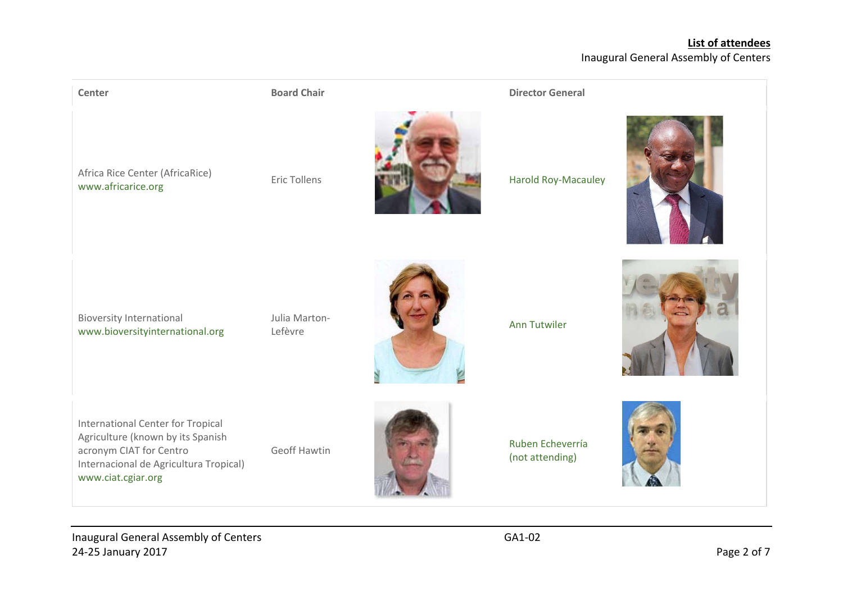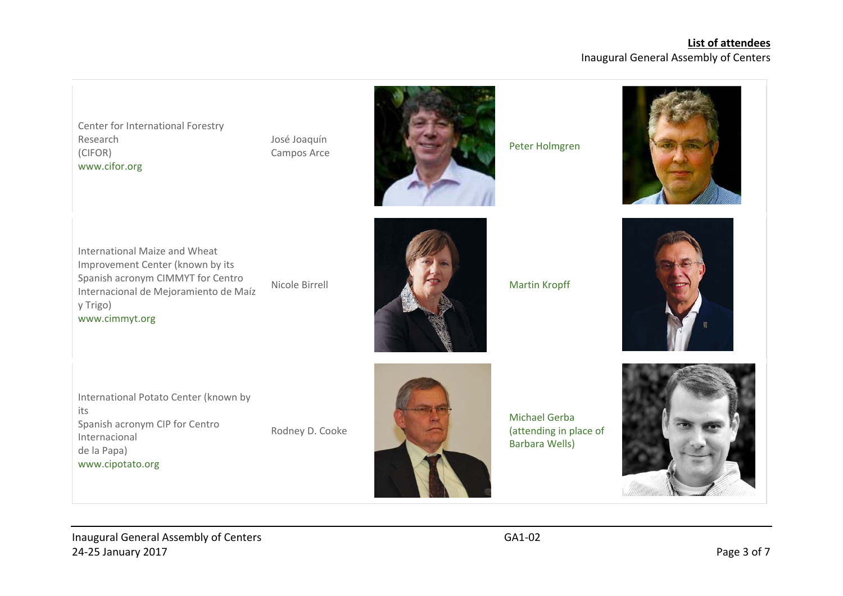Center for International Forestry Research (CIFOR) www.cifor.org

José Joaquín





International Maize and Wheat Improvement Center (known by its Spanish acronym CIMMYT for Centro Internacional de Mejoramiento de Maíz y Trigo) www.cimmyt.org





International Potato Center (known by its Spanish acronym CIP for Centro Internacional de la Papa) www.cipotato.org

Rodney D. Cooke

Michael Gerba (attending in place of Barbara Wells)



Inaugural General Assembly of Centers GA1-02 24‐25 January 2017 Page 3 of 7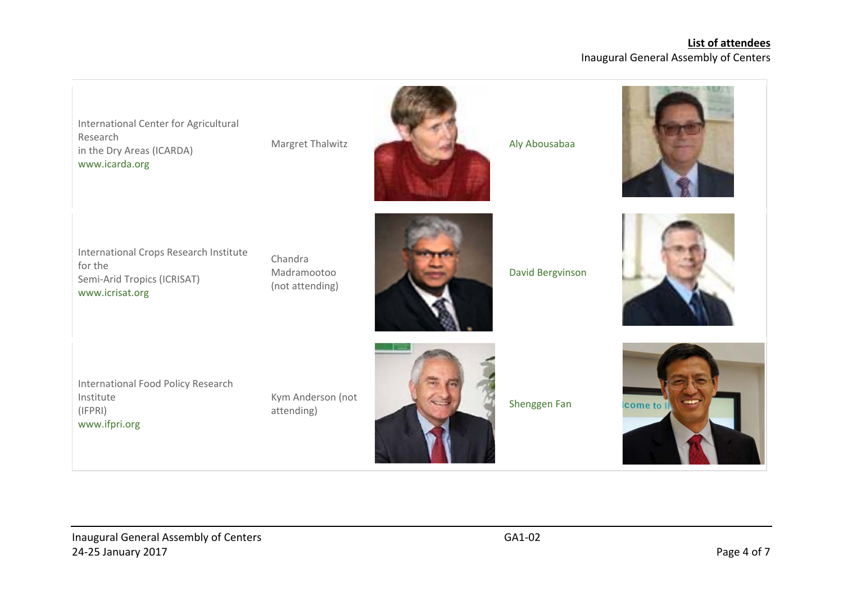International Center for Agricultural Research in the Dry Areas (ICARDA) www.icarda.org







International Crops Research Institute for the Semi‐Arid Tropics (ICRISAT) www.icrisat.org

Chandra Madramootoo (not attending)



David Bergvinson

International Food Policy Research Institute (IFPRI) www.ifpri.org

Kym Anderson (not



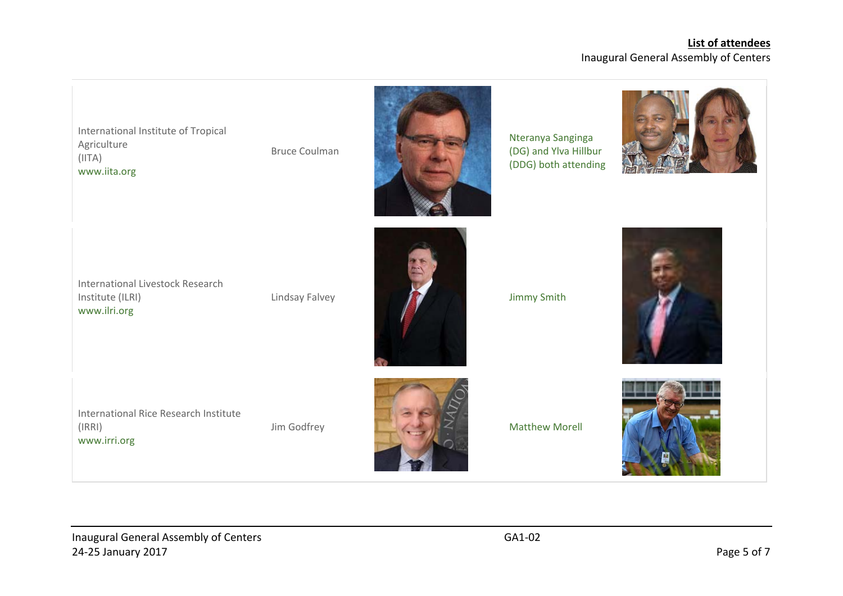International Institute of Tropical Agriculture (IITA) www.iita.org

Bruce Coulman



Nteranya Sanginga (DG) and Ylva Hillbur (DDG) both attending



International Livestock Research Institute (ILRI) www.ilri.org



International Rice Research Institute (IRRI) www.irri.org







Inaugural General Assembly of Centers GA1-02 24‐25 January 2017 Page 5 of 7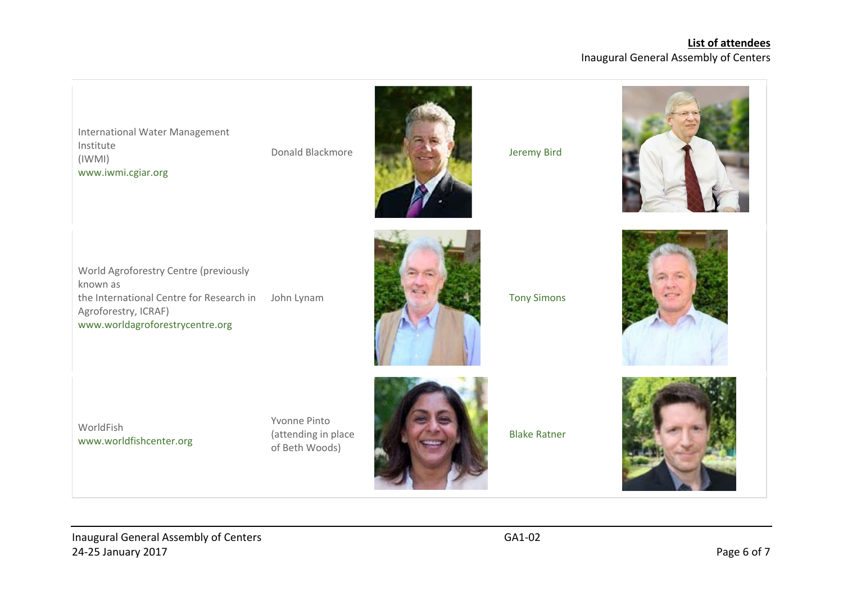International Water Management Institute (IWMI) www.iwmi.cgiar.org





World Agroforestry Centre (previously known as the International Centre for Research in Agroforestry, ICRAF) www.worldagroforestrycentre.org



**Tony Simons** 



WorldFish www.worldfishcenter.org Yvonne Pinto (attending in place of Beth Woods)



Blake Ratner



Inaugural General Assembly of Centers GA1-02 24‐25 January 2017 Page 6 of 7